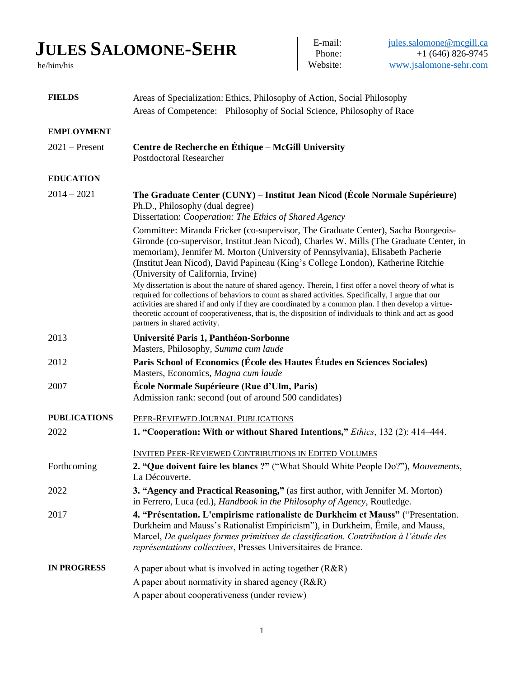## **JULES SALOMONE-SEHR**

he/him/his

E-mail:  $jules.sallowone@mcgill.ca$ <br>Phone:  $+1(646)826-9745$  $+1$  (646) 826-9745 Website: [www.jsalomone-sehr.com](http://www.jsalomone-sehr.com/)

| <b>FIELDS</b>       | Areas of Specialization: Ethics, Philosophy of Action, Social Philosophy<br>Areas of Competence: Philosophy of Social Science, Philosophy of Race                                                                                                                                                                                                                                                                                                                                                                                                                                                                                                                                                                                                                                                                                                           |  |
|---------------------|-------------------------------------------------------------------------------------------------------------------------------------------------------------------------------------------------------------------------------------------------------------------------------------------------------------------------------------------------------------------------------------------------------------------------------------------------------------------------------------------------------------------------------------------------------------------------------------------------------------------------------------------------------------------------------------------------------------------------------------------------------------------------------------------------------------------------------------------------------------|--|
| <b>EMPLOYMENT</b>   |                                                                                                                                                                                                                                                                                                                                                                                                                                                                                                                                                                                                                                                                                                                                                                                                                                                             |  |
| $2021$ – Present    | Centre de Recherche en Éthique - McGill University<br><b>Postdoctoral Researcher</b>                                                                                                                                                                                                                                                                                                                                                                                                                                                                                                                                                                                                                                                                                                                                                                        |  |
| <b>EDUCATION</b>    |                                                                                                                                                                                                                                                                                                                                                                                                                                                                                                                                                                                                                                                                                                                                                                                                                                                             |  |
| $2014 - 2021$       | The Graduate Center (CUNY) – Institut Jean Nicod (École Normale Supérieure)<br>Ph.D., Philosophy (dual degree)<br>Dissertation: Cooperation: The Ethics of Shared Agency                                                                                                                                                                                                                                                                                                                                                                                                                                                                                                                                                                                                                                                                                    |  |
|                     | Committee: Miranda Fricker (co-supervisor, The Graduate Center), Sacha Bourgeois-<br>Gironde (co-supervisor, Institut Jean Nicod), Charles W. Mills (The Graduate Center, in<br>memoriam), Jennifer M. Morton (University of Pennsylvania), Elisabeth Pacherie<br>(Institut Jean Nicod), David Papineau (King's College London), Katherine Ritchie<br>(University of California, Irvine)<br>My dissertation is about the nature of shared agency. Therein, I first offer a novel theory of what is<br>required for collections of behaviors to count as shared activities. Specifically, I argue that our<br>activities are shared if and only if they are coordinated by a common plan. I then develop a virtue-<br>theoretic account of cooperativeness, that is, the disposition of individuals to think and act as good<br>partners in shared activity. |  |
| 2013                | Université Paris 1, Panthéon-Sorbonne<br>Masters, Philosophy, Summa cum laude                                                                                                                                                                                                                                                                                                                                                                                                                                                                                                                                                                                                                                                                                                                                                                               |  |
| 2012                | Paris School of Economics (École des Hautes Études en Sciences Sociales)<br>Masters, Economics, Magna cum laude                                                                                                                                                                                                                                                                                                                                                                                                                                                                                                                                                                                                                                                                                                                                             |  |
| 2007                | École Normale Supérieure (Rue d'Ulm, Paris)<br>Admission rank: second (out of around 500 candidates)                                                                                                                                                                                                                                                                                                                                                                                                                                                                                                                                                                                                                                                                                                                                                        |  |
| <b>PUBLICATIONS</b> | PEER-REVIEWED JOURNAL PUBLICATIONS                                                                                                                                                                                                                                                                                                                                                                                                                                                                                                                                                                                                                                                                                                                                                                                                                          |  |
| 2022                | 1. "Cooperation: With or without Shared Intentions," Ethics, 132 (2): 414-444.                                                                                                                                                                                                                                                                                                                                                                                                                                                                                                                                                                                                                                                                                                                                                                              |  |
|                     | <b>INVITED PEER-REVIEWED CONTRIBUTIONS IN EDITED VOLUMES</b>                                                                                                                                                                                                                                                                                                                                                                                                                                                                                                                                                                                                                                                                                                                                                                                                |  |
| Forthcoming         | 2. "Que doivent faire les blancs ?" ("What Should White People Do?"), Mouvements,<br>La Découverte.                                                                                                                                                                                                                                                                                                                                                                                                                                                                                                                                                                                                                                                                                                                                                         |  |
| 2022                | 3. "Agency and Practical Reasoning," (as first author, with Jennifer M. Morton)<br>in Ferrero, Luca (ed.), Handbook in the Philosophy of Agency, Routledge.                                                                                                                                                                                                                                                                                                                                                                                                                                                                                                                                                                                                                                                                                                 |  |
| 2017                | 4. "Présentation. L'empirisme rationaliste de Durkheim et Mauss" ("Presentation.<br>Durkheim and Mauss's Rationalist Empiricism"), in Durkheim, Émile, and Mauss,<br>Marcel, De quelques formes primitives de classification. Contribution à l'étude des<br>représentations collectives, Presses Universitaires de France.                                                                                                                                                                                                                                                                                                                                                                                                                                                                                                                                  |  |
| <b>IN PROGRESS</b>  | A paper about what is involved in acting together $(R\&R)$                                                                                                                                                                                                                                                                                                                                                                                                                                                                                                                                                                                                                                                                                                                                                                                                  |  |
|                     | A paper about normativity in shared agency (R&R)                                                                                                                                                                                                                                                                                                                                                                                                                                                                                                                                                                                                                                                                                                                                                                                                            |  |
|                     | A paper about cooperativeness (under review)                                                                                                                                                                                                                                                                                                                                                                                                                                                                                                                                                                                                                                                                                                                                                                                                                |  |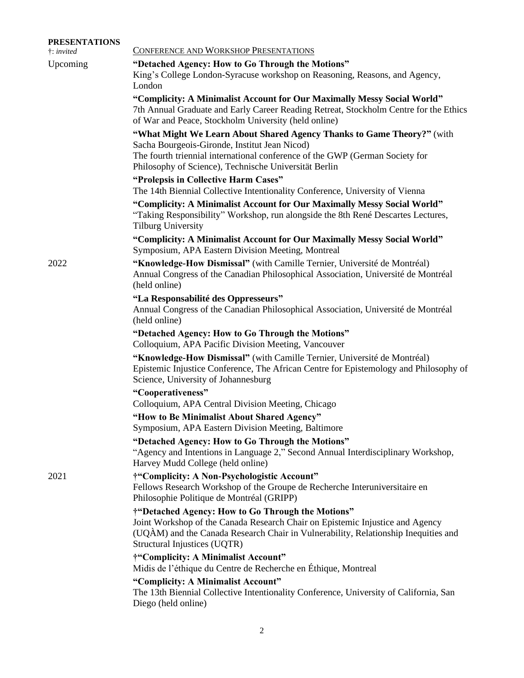| <b>PRESENTATIONS</b><br>$\dagger$ : invited | CONFERENCE AND WORKSHOP PRESENTATIONS                                                                                                                                                                                                                    |  |
|---------------------------------------------|----------------------------------------------------------------------------------------------------------------------------------------------------------------------------------------------------------------------------------------------------------|--|
| Upcoming                                    | "Detached Agency: How to Go Through the Motions"<br>King's College London-Syracuse workshop on Reasoning, Reasons, and Agency,<br>London                                                                                                                 |  |
|                                             | "Complicity: A Minimalist Account for Our Maximally Messy Social World"<br>7th Annual Graduate and Early Career Reading Retreat, Stockholm Centre for the Ethics<br>of War and Peace, Stockholm University (held online)                                 |  |
|                                             | "What Might We Learn About Shared Agency Thanks to Game Theory?" (with<br>Sacha Bourgeois-Gironde, Institut Jean Nicod)<br>The fourth triennial international conference of the GWP (German Society for                                                  |  |
|                                             | Philosophy of Science), Technische Universität Berlin<br>"Prolepsis in Collective Harm Cases"<br>The 14th Biennial Collective Intentionality Conference, University of Vienna                                                                            |  |
|                                             | "Complicity: A Minimalist Account for Our Maximally Messy Social World"<br>"Taking Responsibility" Workshop, run alongside the 8th René Descartes Lectures,<br><b>Tilburg University</b>                                                                 |  |
|                                             | "Complicity: A Minimalist Account for Our Maximally Messy Social World"<br>Symposium, APA Eastern Division Meeting, Montreal                                                                                                                             |  |
| 2022                                        | "Knowledge-How Dismissal" (with Camille Ternier, Université de Montréal)<br>Annual Congress of the Canadian Philosophical Association, Université de Montréal<br>(held online)                                                                           |  |
|                                             | "La Responsabilité des Oppresseurs"<br>Annual Congress of the Canadian Philosophical Association, Université de Montréal<br>(held online)                                                                                                                |  |
|                                             | "Detached Agency: How to Go Through the Motions"<br>Colloquium, APA Pacific Division Meeting, Vancouver                                                                                                                                                  |  |
|                                             | "Knowledge-How Dismissal" (with Camille Ternier, Université de Montréal)<br>Epistemic Injustice Conference, The African Centre for Epistemology and Philosophy of<br>Science, University of Johannesburg                                                 |  |
|                                             | "Cooperativeness"<br>Colloquium, APA Central Division Meeting, Chicago                                                                                                                                                                                   |  |
|                                             | "How to Be Minimalist About Shared Agency"<br>Symposium, APA Eastern Division Meeting, Baltimore                                                                                                                                                         |  |
|                                             | "Detached Agency: How to Go Through the Motions"<br>"Agency and Intentions in Language 2," Second Annual Interdisciplinary Workshop,<br>Harvey Mudd College (held online)                                                                                |  |
| 2021                                        | †"Complicity: A Non-Psychologistic Account"<br>Fellows Research Workshop of the Groupe de Recherche Interuniversitaire en<br>Philosophie Politique de Montréal (GRIPP)                                                                                   |  |
|                                             | †"Detached Agency: How to Go Through the Motions"<br>Joint Workshop of the Canada Research Chair on Epistemic Injustice and Agency<br>(UQAM) and the Canada Research Chair in Vulnerability, Relationship Inequities and<br>Structural Injustices (UQTR) |  |
|                                             | †"Complicity: A Minimalist Account"<br>Midis de l'éthique du Centre de Recherche en Éthique, Montreal                                                                                                                                                    |  |
|                                             | "Complicity: A Minimalist Account"<br>The 13th Biennial Collective Intentionality Conference, University of California, San<br>Diego (held online)                                                                                                       |  |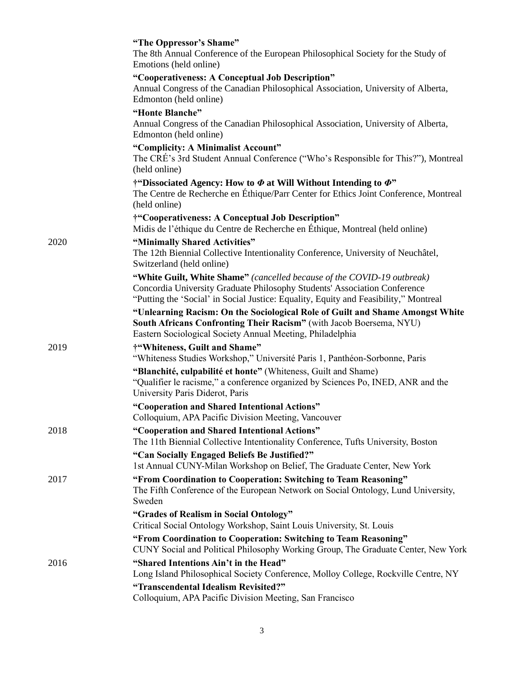|      | "The Oppressor's Shame"<br>The 8th Annual Conference of the European Philosophical Society for the Study of<br>Emotions (held online)                                                                                                        |
|------|----------------------------------------------------------------------------------------------------------------------------------------------------------------------------------------------------------------------------------------------|
|      | "Cooperativeness: A Conceptual Job Description"<br>Annual Congress of the Canadian Philosophical Association, University of Alberta,<br>Edmonton (held online)                                                                               |
|      | "Honte Blanche"<br>Annual Congress of the Canadian Philosophical Association, University of Alberta,<br>Edmonton (held online)                                                                                                               |
|      | "Complicity: A Minimalist Account"<br>The CRÉ's 3rd Student Annual Conference ("Who's Responsible for This?"), Montreal<br>(held online)                                                                                                     |
|      | †"Dissociated Agency: How to $\Phi$ at Will Without Intending to $\Phi$ "<br>The Centre de Recherche en Éthique/Parr Center for Ethics Joint Conference, Montreal<br>(held online)                                                           |
|      | †"Cooperativeness: A Conceptual Job Description"<br>Midis de l'éthique du Centre de Recherche en Éthique, Montreal (held online)                                                                                                             |
| 2020 | "Minimally Shared Activities"<br>The 12th Biennial Collective Intentionality Conference, University of Neuchâtel,<br>Switzerland (held online)                                                                                               |
|      | "White Guilt, White Shame" (cancelled because of the COVID-19 outbreak)<br>Concordia University Graduate Philosophy Students' Association Conference<br>"Putting the 'Social' in Social Justice: Equality, Equity and Feasibility," Montreal |
|      | "Unlearning Racism: On the Sociological Role of Guilt and Shame Amongst White<br>South Africans Confronting Their Racism" (with Jacob Boersema, NYU)<br>Eastern Sociological Society Annual Meeting, Philadelphia                            |
| 2019 | †"Whiteness, Guilt and Shame"<br>"Whiteness Studies Workshop," Université Paris 1, Panthéon-Sorbonne, Paris                                                                                                                                  |
|      | "Blanchité, culpabilité et honte" (Whiteness, Guilt and Shame)<br>"Qualifier le racisme," a conference organized by Sciences Po, INED, ANR and the<br>University Paris Diderot, Paris                                                        |
|      | "Cooperation and Shared Intentional Actions"<br>Colloquium, APA Pacific Division Meeting, Vancouver                                                                                                                                          |
| 2018 | "Cooperation and Shared Intentional Actions"<br>The 11th Biennial Collective Intentionality Conference, Tufts University, Boston                                                                                                             |
|      | "Can Socially Engaged Beliefs Be Justified?"<br>1st Annual CUNY-Milan Workshop on Belief, The Graduate Center, New York                                                                                                                      |
| 2017 | "From Coordination to Cooperation: Switching to Team Reasoning"<br>The Fifth Conference of the European Network on Social Ontology, Lund University,<br>Sweden                                                                               |
|      | "Grades of Realism in Social Ontology"<br>Critical Social Ontology Workshop, Saint Louis University, St. Louis                                                                                                                               |
|      | "From Coordination to Cooperation: Switching to Team Reasoning"<br>CUNY Social and Political Philosophy Working Group, The Graduate Center, New York                                                                                         |
| 2016 | "Shared Intentions Ain't in the Head"<br>Long Island Philosophical Society Conference, Molloy College, Rockville Centre, NY                                                                                                                  |
|      | "Transcendental Idealism Revisited?"<br>Colloquium, APA Pacific Division Meeting, San Francisco                                                                                                                                              |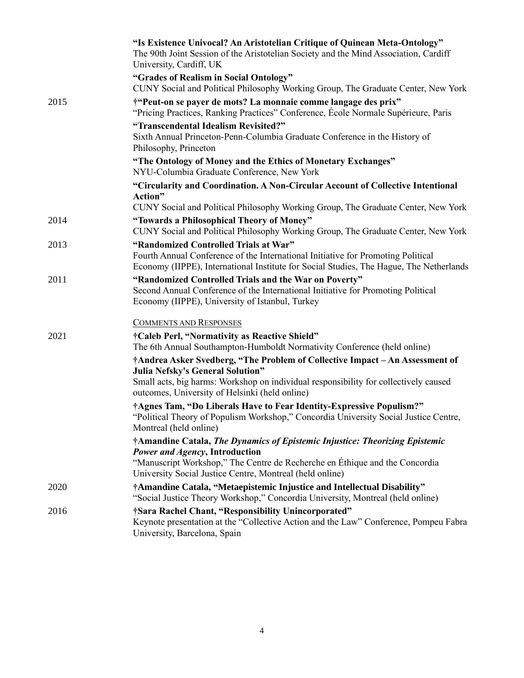|      | "Is Existence Univocal? An Aristotelian Critique of Quinean Meta-Ontology"<br>The 90th Joint Session of the Aristotelian Society and the Mind Association, Cardiff<br>University, Cardiff, UK                                                            |
|------|----------------------------------------------------------------------------------------------------------------------------------------------------------------------------------------------------------------------------------------------------------|
|      | "Grades of Realism in Social Ontology"<br>CUNY Social and Political Philosophy Working Group, The Graduate Center, New York                                                                                                                              |
| 2015 | †"Peut-on se payer de mots? La monnaie comme langage des prix"<br>"Pricing Practices, Ranking Practices" Conference, École Normale Supérieure, Paris                                                                                                     |
|      | "Transcendental Idealism Revisited?"<br>Sixth Annual Princeton-Penn-Columbia Graduate Conference in the History of<br>Philosophy, Princeton                                                                                                              |
|      | "The Ontology of Money and the Ethics of Monetary Exchanges"<br>NYU-Columbia Graduate Conference, New York                                                                                                                                               |
|      | "Circularity and Coordination. A Non-Circular Account of Collective Intentional<br>Action"<br>CUNY Social and Political Philosophy Working Group, The Graduate Center, New York                                                                          |
| 2014 | "Towards a Philosophical Theory of Money"<br>CUNY Social and Political Philosophy Working Group, The Graduate Center, New York                                                                                                                           |
| 2013 | "Randomized Controlled Trials at War"<br>Fourth Annual Conference of the International Initiative for Promoting Political<br>Economy (IIPPE), International Institute for Social Studies, The Hague, The Netherlands                                     |
| 2011 | "Randomized Controlled Trials and the War on Poverty"<br>Second Annual Conference of the International Initiative for Promoting Political<br>Economy (IIPPE), University of Istanbul, Turkey                                                             |
|      | <b>COMMENTS AND RESPONSES</b>                                                                                                                                                                                                                            |
| 2021 | †Caleb Perl, "Normativity as Reactive Shield"<br>The 6th Annual Southampton-Humboldt Normativity Conference (held online)                                                                                                                                |
|      | †Andrea Asker Svedberg, "The Problem of Collective Impact – An Assessment of<br>Julia Nefsky's General Solution"                                                                                                                                         |
|      | Small acts, big harms: Workshop on individual responsibility for collectively caused<br>outcomes, University of Helsinki (held online)                                                                                                                   |
|      | †Agnes Tam, "Do Liberals Have to Fear Identity-Expressive Populism?"<br>"Political Theory of Populism Workshop," Concordia University Social Justice Centre,<br>Montreal (held online)                                                                   |
|      | †Amandine Catala, The Dynamics of Epistemic Injustice: Theorizing Epistemic<br>Power and Agency, Introduction<br>"Manuscript Workshop," The Centre de Recherche en Éthique and the Concordia<br>University Social Justice Centre, Montreal (held online) |
| 2020 | †Amandine Catala, "Metaepistemic Injustice and Intellectual Disability"<br>"Social Justice Theory Workshop," Concordia University, Montreal (held online)                                                                                                |
| 2016 | †Sara Rachel Chant, "Responsibility Unincorporated"<br>Keynote presentation at the "Collective Action and the Law" Conference, Pompeu Fabra<br>University, Barcelona, Spain                                                                              |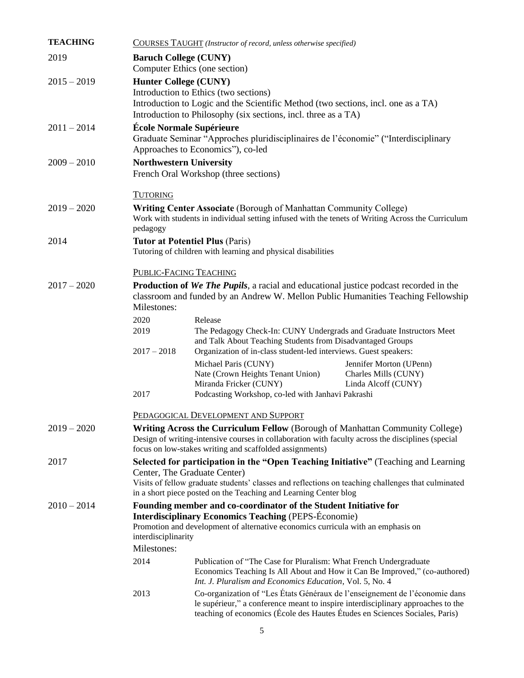| <b>TEACHING</b> | COURSES TAUGHT (Instructor of record, unless otherwise specified)                                                                                                                                                                                    |                                                                                                                                                                                                                                                |  |  |  |
|-----------------|------------------------------------------------------------------------------------------------------------------------------------------------------------------------------------------------------------------------------------------------------|------------------------------------------------------------------------------------------------------------------------------------------------------------------------------------------------------------------------------------------------|--|--|--|
| 2019            |                                                                                                                                                                                                                                                      | <b>Baruch College (CUNY)</b><br>Computer Ethics (one section)                                                                                                                                                                                  |  |  |  |
| $2015 - 2019$   | <b>Hunter College (CUNY)</b><br>Introduction to Ethics (two sections)<br>Introduction to Logic and the Scientific Method (two sections, incl. one as a TA)<br>Introduction to Philosophy (six sections, incl. three as a TA)                         |                                                                                                                                                                                                                                                |  |  |  |
| $2011 - 2014$   | École Normale Supérieure<br>Graduate Seminar "Approches pluridisciplinaires de l'économie" ("Interdisciplinary<br>Approaches to Economics"), co-led                                                                                                  |                                                                                                                                                                                                                                                |  |  |  |
| $2009 - 2010$   | <b>Northwestern University</b><br>French Oral Workshop (three sections)                                                                                                                                                                              |                                                                                                                                                                                                                                                |  |  |  |
|                 | <b>TUTORING</b>                                                                                                                                                                                                                                      |                                                                                                                                                                                                                                                |  |  |  |
| $2019 - 2020$   | pedagogy                                                                                                                                                                                                                                             | <b>Writing Center Associate (Borough of Manhattan Community College)</b><br>Work with students in individual setting infused with the tenets of Writing Across the Curriculum                                                                  |  |  |  |
| 2014            |                                                                                                                                                                                                                                                      | <b>Tutor at Potentiel Plus (Paris)</b><br>Tutoring of children with learning and physical disabilities                                                                                                                                         |  |  |  |
|                 |                                                                                                                                                                                                                                                      | PUBLIC-FACING TEACHING                                                                                                                                                                                                                         |  |  |  |
| $2017 - 2020$   | <b>Production of We The Pupils</b> , a racial and educational justice podcast recorded in the<br>classroom and funded by an Andrew W. Mellon Public Humanities Teaching Fellowship<br>Milestones:                                                    |                                                                                                                                                                                                                                                |  |  |  |
|                 | 2020                                                                                                                                                                                                                                                 | Release                                                                                                                                                                                                                                        |  |  |  |
|                 | 2019<br>$2017 - 2018$                                                                                                                                                                                                                                | The Pedagogy Check-In: CUNY Undergrads and Graduate Instructors Meet<br>and Talk About Teaching Students from Disadvantaged Groups<br>Organization of in-class student-led interviews. Guest speakers:                                         |  |  |  |
|                 | 2017                                                                                                                                                                                                                                                 | Michael Paris (CUNY)<br>Jennifer Morton (UPenn)<br>Nate (Crown Heights Tenant Union)<br>Charles Mills (CUNY)<br>Miranda Fricker (CUNY)<br>Linda Alcoff (CUNY)<br>Podcasting Workshop, co-led with Janhavi Pakrashi                             |  |  |  |
|                 |                                                                                                                                                                                                                                                      |                                                                                                                                                                                                                                                |  |  |  |
|                 |                                                                                                                                                                                                                                                      | PEDAGOGICAL DEVELOPMENT AND SUPPORT                                                                                                                                                                                                            |  |  |  |
| $2019 - 2020$   | <b>Writing Across the Curriculum Fellow</b> (Borough of Manhattan Community College)<br>Design of writing-intensive courses in collaboration with faculty across the disciplines (special<br>focus on low-stakes writing and scaffolded assignments) |                                                                                                                                                                                                                                                |  |  |  |
| 2017            | Selected for participation in the "Open Teaching Initiative" (Teaching and Learning<br>Center, The Graduate Center)<br>Visits of fellow graduate students' classes and reflections on teaching challenges that culminated                            |                                                                                                                                                                                                                                                |  |  |  |
|                 | in a short piece posted on the Teaching and Learning Center blog                                                                                                                                                                                     |                                                                                                                                                                                                                                                |  |  |  |
| $2010 - 2014$   | Founding member and co-coordinator of the Student Initiative for<br><b>Interdisciplinary Economics Teaching (PEPS-Économie)</b><br>Promotion and development of alternative economics curricula with an emphasis on<br>interdisciplinarity           |                                                                                                                                                                                                                                                |  |  |  |
|                 | Milestones:                                                                                                                                                                                                                                          |                                                                                                                                                                                                                                                |  |  |  |
|                 | 2014                                                                                                                                                                                                                                                 | Publication of "The Case for Pluralism: What French Undergraduate<br>Economics Teaching Is All About and How it Can Be Improved," (co-authored)<br>Int. J. Pluralism and Economics Education, Vol. 5, No. 4                                    |  |  |  |
|                 | 2013                                                                                                                                                                                                                                                 | Co-organization of "Les États Généraux de l'enseignement de l'économie dans<br>le supérieur," a conference meant to inspire interdisciplinary approaches to the<br>teaching of economics (École des Hautes Études en Sciences Sociales, Paris) |  |  |  |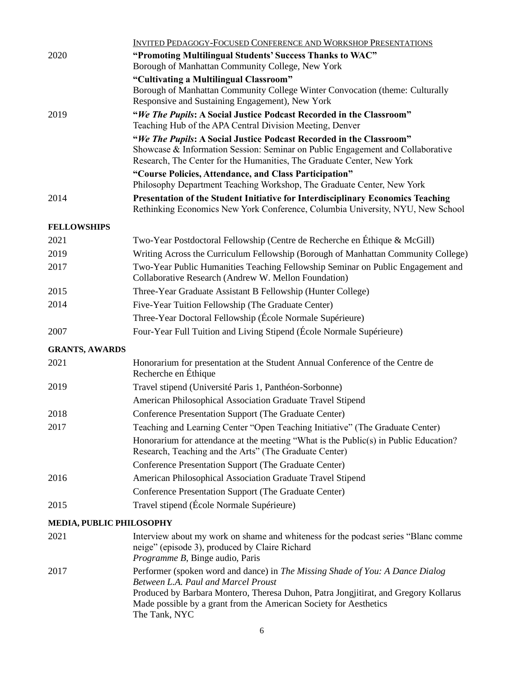|                          | <b>INVITED PEDAGOGY-FOCUSED CONFERENCE AND WORKSHOP PRESENTATIONS</b>                                                                                                                                                                                                                             |  |  |
|--------------------------|---------------------------------------------------------------------------------------------------------------------------------------------------------------------------------------------------------------------------------------------------------------------------------------------------|--|--|
| 2020                     | "Promoting Multilingual Students' Success Thanks to WAC"<br>Borough of Manhattan Community College, New York                                                                                                                                                                                      |  |  |
|                          | "Cultivating a Multilingual Classroom"<br>Borough of Manhattan Community College Winter Convocation (theme: Culturally<br>Responsive and Sustaining Engagement), New York                                                                                                                         |  |  |
| 2019                     | "We The Pupils: A Social Justice Podcast Recorded in the Classroom"<br>Teaching Hub of the APA Central Division Meeting, Denver                                                                                                                                                                   |  |  |
|                          | "We The Pupils: A Social Justice Podcast Recorded in the Classroom"<br>Showcase & Information Session: Seminar on Public Engagement and Collaborative<br>Research, The Center for the Humanities, The Graduate Center, New York                                                                   |  |  |
|                          | "Course Policies, Attendance, and Class Participation"<br>Philosophy Department Teaching Workshop, The Graduate Center, New York                                                                                                                                                                  |  |  |
| 2014                     | <b>Presentation of the Student Initiative for Interdisciplinary Economics Teaching</b><br>Rethinking Economics New York Conference, Columbia University, NYU, New School                                                                                                                          |  |  |
| <b>FELLOWSHIPS</b>       |                                                                                                                                                                                                                                                                                                   |  |  |
| 2021                     | Two-Year Postdoctoral Fellowship (Centre de Recherche en Éthique & McGill)                                                                                                                                                                                                                        |  |  |
| 2019                     | Writing Across the Curriculum Fellowship (Borough of Manhattan Community College)                                                                                                                                                                                                                 |  |  |
| 2017                     | Two-Year Public Humanities Teaching Fellowship Seminar on Public Engagement and<br>Collaborative Research (Andrew W. Mellon Foundation)                                                                                                                                                           |  |  |
| 2015                     | Three-Year Graduate Assistant B Fellowship (Hunter College)                                                                                                                                                                                                                                       |  |  |
| 2014                     | Five-Year Tuition Fellowship (The Graduate Center)                                                                                                                                                                                                                                                |  |  |
|                          | Three-Year Doctoral Fellowship (École Normale Supérieure)                                                                                                                                                                                                                                         |  |  |
| 2007                     | Four-Year Full Tuition and Living Stipend (École Normale Supérieure)                                                                                                                                                                                                                              |  |  |
| <b>GRANTS, AWARDS</b>    |                                                                                                                                                                                                                                                                                                   |  |  |
| 2021                     | Honorarium for presentation at the Student Annual Conference of the Centre de<br>Recherche en Éthique                                                                                                                                                                                             |  |  |
| 2019                     | Travel stipend (Université Paris 1, Panthéon-Sorbonne)                                                                                                                                                                                                                                            |  |  |
|                          | American Philosophical Association Graduate Travel Stipend                                                                                                                                                                                                                                        |  |  |
| 2018                     | Conference Presentation Support (The Graduate Center)                                                                                                                                                                                                                                             |  |  |
| 2017                     | Teaching and Learning Center "Open Teaching Initiative" (The Graduate Center)                                                                                                                                                                                                                     |  |  |
|                          | Honorarium for attendance at the meeting "What is the Public(s) in Public Education?<br>Research, Teaching and the Arts" (The Graduate Center)                                                                                                                                                    |  |  |
|                          | Conference Presentation Support (The Graduate Center)                                                                                                                                                                                                                                             |  |  |
| 2016                     | American Philosophical Association Graduate Travel Stipend                                                                                                                                                                                                                                        |  |  |
|                          | Conference Presentation Support (The Graduate Center)                                                                                                                                                                                                                                             |  |  |
| 2015                     | Travel stipend (École Normale Supérieure)                                                                                                                                                                                                                                                         |  |  |
| MEDIA, PUBLIC PHILOSOPHY |                                                                                                                                                                                                                                                                                                   |  |  |
| 2021                     | Interview about my work on shame and whiteness for the podcast series "Blanc comme<br>neige" (episode 3), produced by Claire Richard<br>Programme B, Binge audio, Paris                                                                                                                           |  |  |
| 2017                     | Performer (spoken word and dance) in The Missing Shade of You: A Dance Dialog<br>Between L.A. Paul and Marcel Proust<br>Produced by Barbara Montero, Theresa Duhon, Patra Jongjitirat, and Gregory Kollarus<br>Made possible by a grant from the American Society for Aesthetics<br>The Tank, NYC |  |  |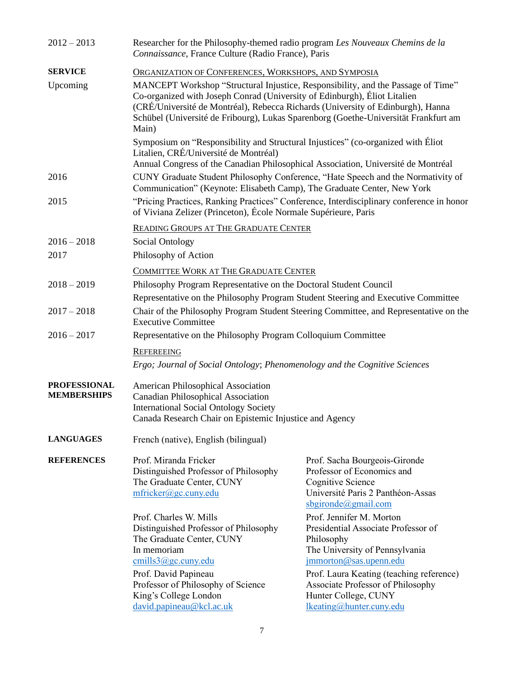| $2012 - 2013$                             | Researcher for the Philosophy-themed radio program Les Nouveaux Chemins de la<br>Connaissance, France Culture (Radio France), Paris                                                                                                                                                                                                              |                                                                                                                                                 |  |  |  |
|-------------------------------------------|--------------------------------------------------------------------------------------------------------------------------------------------------------------------------------------------------------------------------------------------------------------------------------------------------------------------------------------------------|-------------------------------------------------------------------------------------------------------------------------------------------------|--|--|--|
| <b>SERVICE</b>                            | ORGANIZATION OF CONFERENCES, WORKSHOPS, AND SYMPOSIA                                                                                                                                                                                                                                                                                             |                                                                                                                                                 |  |  |  |
| Upcoming                                  | MANCEPT Workshop "Structural Injustice, Responsibility, and the Passage of Time"<br>Co-organized with Joseph Conrad (University of Edinburgh), Éliot Litalien<br>(CRÉ/Université de Montréal), Rebecca Richards (University of Edinburgh), Hanna<br>Schübel (Université de Fribourg), Lukas Sparenborg (Goethe-Universität Frankfurt am<br>Main) |                                                                                                                                                 |  |  |  |
|                                           | Symposium on "Responsibility and Structural Injustices" (co-organized with Eliot<br>Litalien, CRÉ/Université de Montréal)<br>Annual Congress of the Canadian Philosophical Association, Université de Montréal                                                                                                                                   |                                                                                                                                                 |  |  |  |
| 2016                                      | CUNY Graduate Student Philosophy Conference, "Hate Speech and the Normativity of<br>Communication" (Keynote: Elisabeth Camp), The Graduate Center, New York                                                                                                                                                                                      |                                                                                                                                                 |  |  |  |
| 2015                                      | "Pricing Practices, Ranking Practices" Conference, Interdisciplinary conference in honor<br>of Viviana Zelizer (Princeton), École Normale Supérieure, Paris                                                                                                                                                                                      |                                                                                                                                                 |  |  |  |
|                                           | <b>READING GROUPS AT THE GRADUATE CENTER</b>                                                                                                                                                                                                                                                                                                     |                                                                                                                                                 |  |  |  |
| $2016 - 2018$                             | Social Ontology                                                                                                                                                                                                                                                                                                                                  |                                                                                                                                                 |  |  |  |
| 2017                                      | Philosophy of Action                                                                                                                                                                                                                                                                                                                             |                                                                                                                                                 |  |  |  |
|                                           | COMMITTEE WORK AT THE GRADUATE CENTER                                                                                                                                                                                                                                                                                                            |                                                                                                                                                 |  |  |  |
| $2018 - 2019$                             | Philosophy Program Representative on the Doctoral Student Council                                                                                                                                                                                                                                                                                |                                                                                                                                                 |  |  |  |
|                                           | Representative on the Philosophy Program Student Steering and Executive Committee                                                                                                                                                                                                                                                                |                                                                                                                                                 |  |  |  |
| $2017 - 2018$                             | Chair of the Philosophy Program Student Steering Committee, and Representative on the<br><b>Executive Committee</b>                                                                                                                                                                                                                              |                                                                                                                                                 |  |  |  |
| $2016 - 2017$                             | Representative on the Philosophy Program Colloquium Committee                                                                                                                                                                                                                                                                                    |                                                                                                                                                 |  |  |  |
|                                           | <b>REFEREEING</b>                                                                                                                                                                                                                                                                                                                                |                                                                                                                                                 |  |  |  |
|                                           | Ergo; Journal of Social Ontology; Phenomenology and the Cognitive Sciences                                                                                                                                                                                                                                                                       |                                                                                                                                                 |  |  |  |
| <b>PROFESSIONAL</b><br><b>MEMBERSHIPS</b> | American Philosophical Association<br><b>Canadian Philosophical Association</b><br><b>International Social Ontology Society</b><br>Canada Research Chair on Epistemic Injustice and Agency                                                                                                                                                       |                                                                                                                                                 |  |  |  |
| <b>LANGUAGES</b>                          | French (native), English (bilingual)                                                                                                                                                                                                                                                                                                             |                                                                                                                                                 |  |  |  |
| <b>REFERENCES</b>                         | Prof. Miranda Fricker<br>Distinguished Professor of Philosophy<br>The Graduate Center, CUNY<br>mfricker@gc.cuny.edu                                                                                                                                                                                                                              | Prof. Sacha Bourgeois-Gironde<br>Professor of Economics and<br>Cognitive Science<br>Université Paris 2 Panthéon-Assas<br>$s$ bgironde@gmail.com |  |  |  |
|                                           | Prof. Charles W. Mills<br>Distinguished Professor of Philosophy<br>The Graduate Center, CUNY<br>In memoriam<br>cmills3@gc.cuny.edu                                                                                                                                                                                                               | Prof. Jennifer M. Morton<br>Presidential Associate Professor of<br>Philosophy<br>The University of Pennsylvania<br>jmmorton@sas.upenn.edu       |  |  |  |
|                                           | Prof. David Papineau<br>Professor of Philosophy of Science<br>King's College London<br>david.papineau@kcl.ac.uk                                                                                                                                                                                                                                  | Prof. Laura Keating (teaching reference)<br>Associate Professor of Philosophy<br>Hunter College, CUNY<br>lkeating@hunter.cuny.edu               |  |  |  |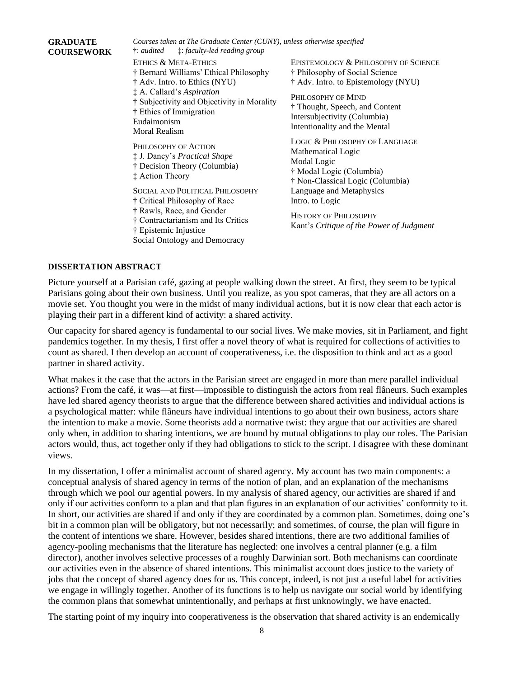## *Courses taken at The Graduate Center (CUNY), unless otherwise specified* †: *audited* ‡: *faculty-led reading group* ETHICS & META-ETHICS † Bernard Williams' Ethical Philosophy † Adv. Intro. to Ethics (NYU) ‡ A. Callard's *Aspiration* † Subjectivity and Objectivity in Morality † Ethics of Immigration Eudaimonism Moral Realism PHILOSOPHY OF ACTION ‡ J. Dancy's *Practical Shape* † Decision Theory (Columbia) ‡ Action Theory SOCIAL AND POLITICAL PHILOSOPHY † Critical Philosophy of Race † Rawls, Race, and Gender † Contractarianism and Its Critics † Epistemic Injustice Social Ontology and Democracy EPISTEMOLOGY & PHILOSOPHY OF SCIENCE † Philosophy of Social Science † Adv. Intro. to Epistemology (NYU) PHILOSOPHY OF MIND † Thought, Speech, and Content Intersubjectivity (Columbia) Intentionality and the Mental LOGIC & PHILOSOPHY OF LANGUAGE Mathematical Logic Modal Logic † Modal Logic (Columbia) † Non-Classical Logic (Columbia) Language and Metaphysics Intro. to Logic HISTORY OF PHILOSOPHY Kant's *Critique of the Power of Judgment*

## **DISSERTATION ABSTRACT**

**GRADUATE COURSEWORK**

Picture yourself at a Parisian café, gazing at people walking down the street. At first, they seem to be typical Parisians going about their own business. Until you realize, as you spot cameras, that they are all actors on a movie set. You thought you were in the midst of many individual actions, but it is now clear that each actor is playing their part in a different kind of activity: a shared activity.

Our capacity for shared agency is fundamental to our social lives. We make movies, sit in Parliament, and fight pandemics together. In my thesis, I first offer a novel theory of what is required for collections of activities to count as shared. I then develop an account of cooperativeness, i.e. the disposition to think and act as a good partner in shared activity.

What makes it the case that the actors in the Parisian street are engaged in more than mere parallel individual actions? From the café, it was—at first—impossible to distinguish the actors from real flâneurs. Such examples have led shared agency theorists to argue that the difference between shared activities and individual actions is a psychological matter: while flâneurs have individual intentions to go about their own business, actors share the intention to make a movie. Some theorists add a normative twist: they argue that our activities are shared only when, in addition to sharing intentions, we are bound by mutual obligations to play our roles. The Parisian actors would, thus, act together only if they had obligations to stick to the script. I disagree with these dominant views.

In my dissertation, I offer a minimalist account of shared agency. My account has two main components: a conceptual analysis of shared agency in terms of the notion of plan, and an explanation of the mechanisms through which we pool our agential powers. In my analysis of shared agency, our activities are shared if and only if our activities conform to a plan and that plan figures in an explanation of our activities' conformity to it. In short, our activities are shared if and only if they are coordinated by a common plan. Sometimes, doing one's bit in a common plan will be obligatory, but not necessarily; and sometimes, of course, the plan will figure in the content of intentions we share. However, besides shared intentions, there are two additional families of agency-pooling mechanisms that the literature has neglected: one involves a central planner (e.g. a film director), another involves selective processes of a roughly Darwinian sort. Both mechanisms can coordinate our activities even in the absence of shared intentions. This minimalist account does justice to the variety of jobs that the concept of shared agency does for us. This concept, indeed, is not just a useful label for activities we engage in willingly together. Another of its functions is to help us navigate our social world by identifying the common plans that somewhat unintentionally, and perhaps at first unknowingly, we have enacted.

The starting point of my inquiry into cooperativeness is the observation that shared activity is an endemically